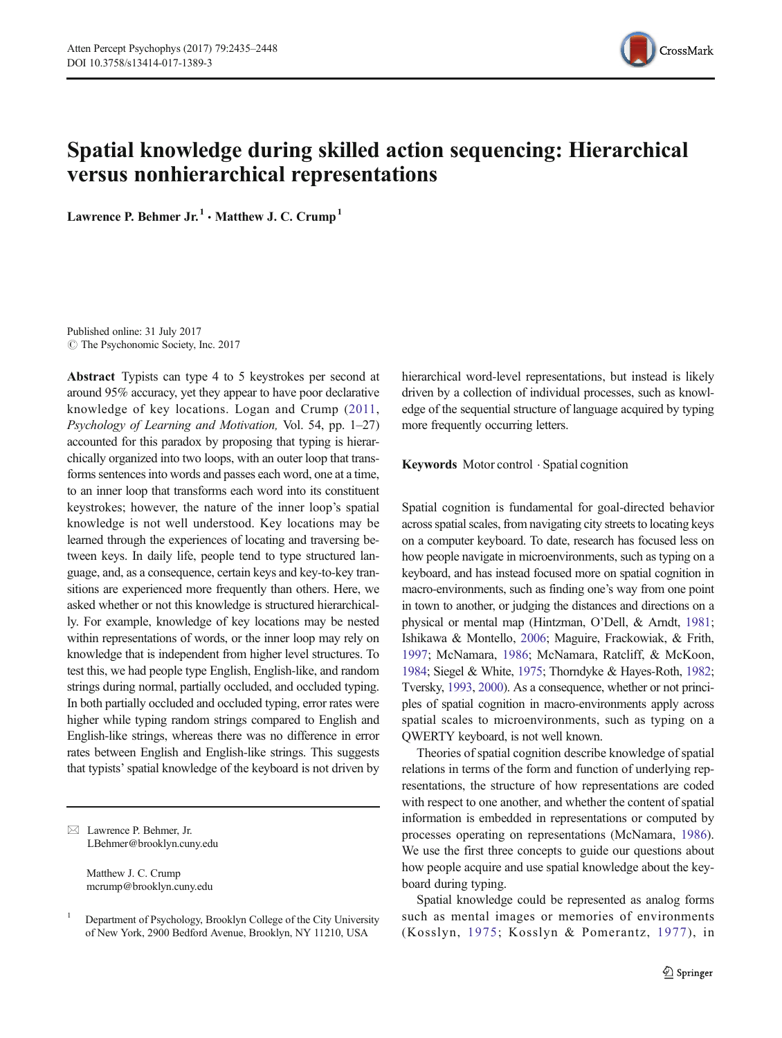

# Spatial knowledge during skilled action sequencing: Hierarchical versus nonhierarchical representations

Lawrence P. Behmer  $Jr<sup>1</sup> \cdot M$ atthew J. C. Crump<sup>1</sup>

Published online: 31 July 2017 C The Psychonomic Society, Inc. 2017

Abstract Typists can type 4 to 5 keystrokes per second at around 95% accuracy, yet they appear to have poor declarative knowledge of key locations. Logan and Crump ([2011,](#page-13-0) Psychology of Learning and Motivation, Vol. 54, pp. 1–27) accounted for this paradox by proposing that typing is hierarchically organized into two loops, with an outer loop that transforms sentences into words and passes each word, one at a time, to an inner loop that transforms each word into its constituent keystrokes; however, the nature of the inner loop's spatial knowledge is not well understood. Key locations may be learned through the experiences of locating and traversing between keys. In daily life, people tend to type structured language, and, as a consequence, certain keys and key-to-key transitions are experienced more frequently than others. Here, we asked whether or not this knowledge is structured hierarchically. For example, knowledge of key locations may be nested within representations of words, or the inner loop may rely on knowledge that is independent from higher level structures. To test this, we had people type English, English-like, and random strings during normal, partially occluded, and occluded typing. In both partially occluded and occluded typing, error rates were higher while typing random strings compared to English and English-like strings, whereas there was no difference in error rates between English and English-like strings. This suggests that typists'spatial knowledge of the keyboard is not driven by

 $\boxtimes$  Lawrence P. Behmer, Jr. [LBehmer@brooklyn.cuny.edu](mailto:LBehmer@brooklyn.cuny.edu)

> Matthew J. C. Crump mcrump@brooklyn.cuny.edu

hierarchical word-level representations, but instead is likely driven by a collection of individual processes, such as knowledge of the sequential structure of language acquired by typing more frequently occurring letters.

## Keywords Motor control . Spatial cognition

Spatial cognition is fundamental for goal-directed behavior across spatial scales, from navigating city streets to locating keys on a computer keyboard. To date, research has focused less on how people navigate in microenvironments, such as typing on a keyboard, and has instead focused more on spatial cognition in macro-environments, such as finding one's way from one point in town to another, or judging the distances and directions on a physical or mental map (Hintzman, O'Dell, & Arndt, [1981;](#page-12-0) Ishikawa & Montello, [2006](#page-12-0); Maguire, Frackowiak, & Frith, [1997;](#page-13-0) McNamara, [1986;](#page-13-0) McNamara, Ratcliff, & McKoon, [1984](#page-13-0); Siegel & White, [1975](#page-13-0); Thorndyke & Hayes-Roth, [1982;](#page-13-0) Tversky, [1993,](#page-13-0) [2000](#page-13-0)). As a consequence, whether or not principles of spatial cognition in macro-environments apply across spatial scales to microenvironments, such as typing on a QWERTY keyboard, is not well known.

Theories of spatial cognition describe knowledge of spatial relations in terms of the form and function of underlying representations, the structure of how representations are coded with respect to one another, and whether the content of spatial information is embedded in representations or computed by processes operating on representations (McNamara, [1986\)](#page-13-0). We use the first three concepts to guide our questions about how people acquire and use spatial knowledge about the keyboard during typing.

Spatial knowledge could be represented as analog forms such as mental images or memories of environments (Kosslyn, [1975](#page-12-0); Kosslyn & Pomerantz, [1977\)](#page-12-0), in

<sup>1</sup> Department of Psychology, Brooklyn College of the City University of New York, 2900 Bedford Avenue, Brooklyn, NY 11210, USA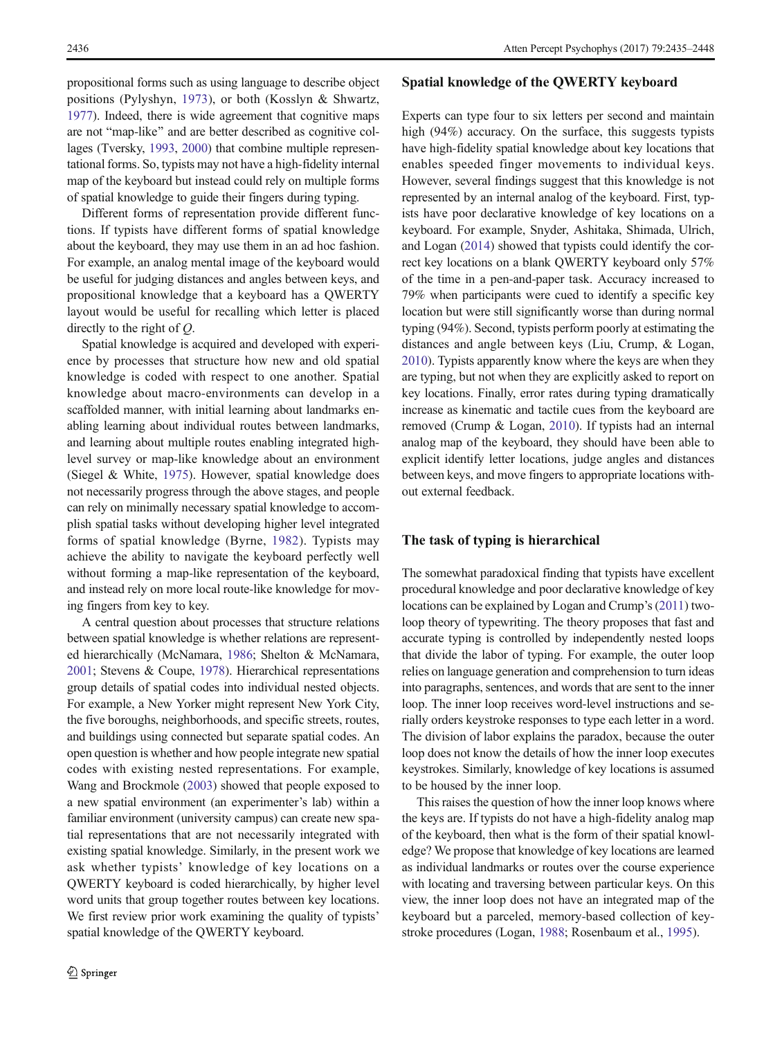propositional forms such as using language to describe object positions (Pylyshyn, [1973\)](#page-13-0), or both (Kosslyn & Shwartz, [1977\)](#page-12-0). Indeed, there is wide agreement that cognitive maps are not "map-like" and are better described as cognitive collages (Tversky, [1993](#page-13-0), [2000](#page-13-0)) that combine multiple representational forms. So, typists may not have a high-fidelity internal map of the keyboard but instead could rely on multiple forms of spatial knowledge to guide their fingers during typing.

Different forms of representation provide different functions. If typists have different forms of spatial knowledge about the keyboard, they may use them in an ad hoc fashion. For example, an analog mental image of the keyboard would be useful for judging distances and angles between keys, and propositional knowledge that a keyboard has a QWERTY layout would be useful for recalling which letter is placed directly to the right of Q.

Spatial knowledge is acquired and developed with experience by processes that structure how new and old spatial knowledge is coded with respect to one another. Spatial knowledge about macro-environments can develop in a scaffolded manner, with initial learning about landmarks enabling learning about individual routes between landmarks, and learning about multiple routes enabling integrated highlevel survey or map-like knowledge about an environment (Siegel & White, [1975\)](#page-13-0). However, spatial knowledge does not necessarily progress through the above stages, and people can rely on minimally necessary spatial knowledge to accomplish spatial tasks without developing higher level integrated forms of spatial knowledge (Byrne, [1982\)](#page-12-0). Typists may achieve the ability to navigate the keyboard perfectly well without forming a map-like representation of the keyboard, and instead rely on more local route-like knowledge for moving fingers from key to key.

A central question about processes that structure relations between spatial knowledge is whether relations are represented hierarchically (McNamara, [1986](#page-13-0); Shelton & McNamara, [2001;](#page-13-0) Stevens & Coupe, [1978](#page-13-0)). Hierarchical representations group details of spatial codes into individual nested objects. For example, a New Yorker might represent New York City, the five boroughs, neighborhoods, and specific streets, routes, and buildings using connected but separate spatial codes. An open question is whether and how people integrate new spatial codes with existing nested representations. For example, Wang and Brockmole ([2003](#page-13-0)) showed that people exposed to a new spatial environment (an experimenter's lab) within a familiar environment (university campus) can create new spatial representations that are not necessarily integrated with existing spatial knowledge. Similarly, in the present work we ask whether typists' knowledge of key locations on a QWERTY keyboard is coded hierarchically, by higher level word units that group together routes between key locations. We first review prior work examining the quality of typists' spatial knowledge of the QWERTY keyboard.

#### Spatial knowledge of the QWERTY keyboard

Experts can type four to six letters per second and maintain high (94%) accuracy. On the surface, this suggests typists have high-fidelity spatial knowledge about key locations that enables speeded finger movements to individual keys. However, several findings suggest that this knowledge is not represented by an internal analog of the keyboard. First, typists have poor declarative knowledge of key locations on a keyboard. For example, Snyder, Ashitaka, Shimada, Ulrich, and Logan ([2014](#page-13-0)) showed that typists could identify the correct key locations on a blank QWERTY keyboard only 57% of the time in a pen-and-paper task. Accuracy increased to 79% when participants were cued to identify a specific key location but were still significantly worse than during normal typing (94%). Second, typists perform poorly at estimating the distances and angle between keys (Liu, Crump, & Logan, [2010\)](#page-12-0). Typists apparently know where the keys are when they are typing, but not when they are explicitly asked to report on key locations. Finally, error rates during typing dramatically increase as kinematic and tactile cues from the keyboard are removed (Crump & Logan, [2010](#page-12-0)). If typists had an internal analog map of the keyboard, they should have been able to explicit identify letter locations, judge angles and distances between keys, and move fingers to appropriate locations without external feedback.

#### The task of typing is hierarchical

The somewhat paradoxical finding that typists have excellent procedural knowledge and poor declarative knowledge of key locations can be explained by Logan and Crump's [\(2011](#page-13-0)) twoloop theory of typewriting. The theory proposes that fast and accurate typing is controlled by independently nested loops that divide the labor of typing. For example, the outer loop relies on language generation and comprehension to turn ideas into paragraphs, sentences, and words that are sent to the inner loop. The inner loop receives word-level instructions and serially orders keystroke responses to type each letter in a word. The division of labor explains the paradox, because the outer loop does not know the details of how the inner loop executes keystrokes. Similarly, knowledge of key locations is assumed to be housed by the inner loop.

This raises the question of how the inner loop knows where the keys are. If typists do not have a high-fidelity analog map of the keyboard, then what is the form of their spatial knowledge? We propose that knowledge of key locations are learned as individual landmarks or routes over the course experience with locating and traversing between particular keys. On this view, the inner loop does not have an integrated map of the keyboard but a parceled, memory-based collection of keystroke procedures (Logan, [1988](#page-12-0); Rosenbaum et al., [1995\)](#page-13-0).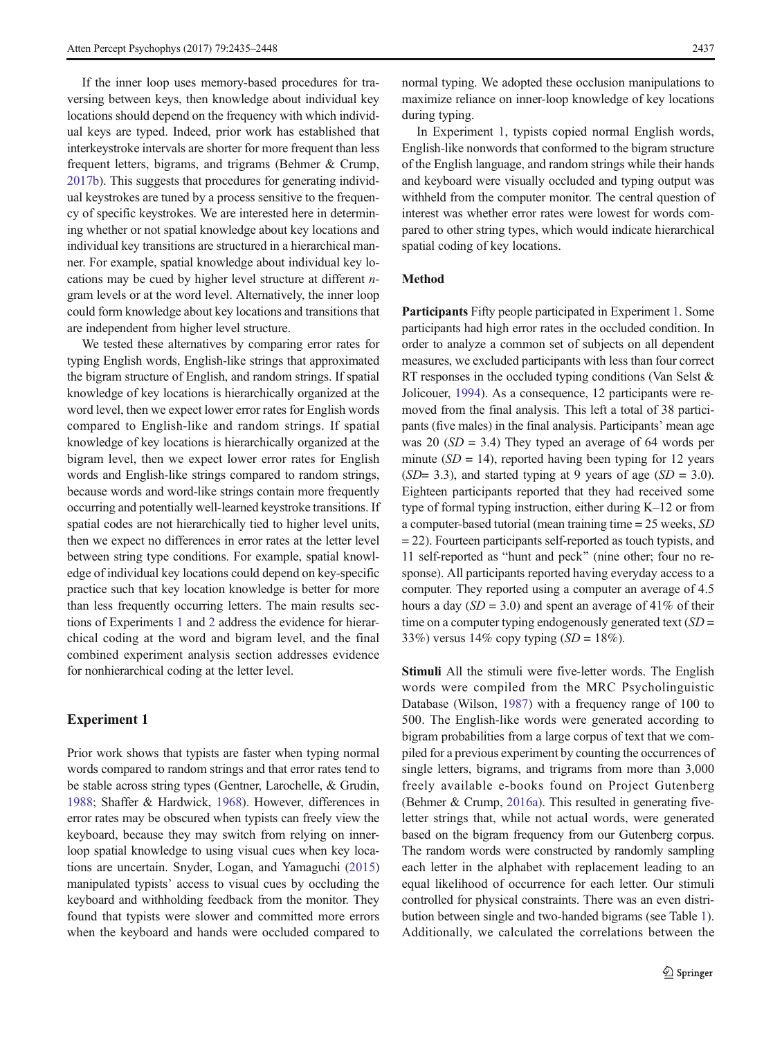<span id="page-2-0"></span>If the inner loop uses memory-based procedures for traversing between keys, then knowledge about individual key locations should depend on the frequency with which individual keys are typed. Indeed, prior work has established that interkeystroke intervals are shorter for more frequent than less frequent letters, bigrams, and trigrams (Behmer & Crump, [2017b](#page-12-0)). This suggests that procedures for generating individual keystrokes are tuned by a process sensitive to the frequency of specific keystrokes. We are interested here in determining whether or not spatial knowledge about key locations and individual key transitions are structured in a hierarchical manner. For example, spatial knowledge about individual key locations may be cued by higher level structure at different ngram levels or at the word level. Alternatively, the inner loop could form knowledge about key locations and transitions that are independent from higher level structure.

We tested these alternatives by comparing error rates for typing English words, English-like strings that approximated the bigram structure of English, and random strings. If spatial knowledge of key locations is hierarchically organized at the word level, then we expect lower error rates for English words compared to English-like and random strings. If spatial knowledge of key locations is hierarchically organized at the bigram level, then we expect lower error rates for English words and English-like strings compared to random strings, because words and word-like strings contain more frequently occurring and potentially well-learned keystroke transitions. If spatial codes are not hierarchically tied to higher level units, then we expect no differences in error rates at the letter level between string type conditions. For example, spatial knowledge of individual key locations could depend on key-specific practice such that key location knowledge is better for more than less frequently occurring letters. The main results sections of Experiments 1 and [2](#page-5-0) address the evidence for hierarchical coding at the word and bigram level, and the final combined experiment analysis section addresses evidence for nonhierarchical coding at the letter level.

## Experiment 1

Prior work shows that typists are faster when typing normal words compared to random strings and that error rates tend to be stable across string types (Gentner, Larochelle, & Grudin, [1988;](#page-12-0) Shaffer & Hardwick, [1968](#page-13-0)). However, differences in error rates may be obscured when typists can freely view the keyboard, because they may switch from relying on innerloop spatial knowledge to using visual cues when key locations are uncertain. Snyder, Logan, and Yamaguchi [\(2015\)](#page-13-0) manipulated typists' access to visual cues by occluding the keyboard and withholding feedback from the monitor. They found that typists were slower and committed more errors when the keyboard and hands were occluded compared to

normal typing. We adopted these occlusion manipulations to maximize reliance on inner-loop knowledge of key locations during typing.

In Experiment 1, typists copied normal English words, English-like nonwords that conformed to the bigram structure of the English language, and random strings while their hands and keyboard were visually occluded and typing output was withheld from the computer monitor. The central question of interest was whether error rates were lowest for words compared to other string types, which would indicate hierarchical spatial coding of key locations.

## Method

Participants Fifty people participated in Experiment 1. Some participants had high error rates in the occluded condition. In order to analyze a common set of subjects on all dependent measures, we excluded participants with less than four correct RT responses in the occluded typing conditions (Van Selst & Jolicouer, [1994](#page-13-0)). As a consequence, 12 participants were removed from the final analysis. This left a total of 38 participants (five males) in the final analysis. Participants' mean age was 20  $(SD = 3.4)$  They typed an average of 64 words per minute  $(SD = 14)$ , reported having been typing for 12 years  $(SD= 3.3)$ , and started typing at 9 years of age  $(SD = 3.0)$ . Eighteen participants reported that they had received some type of formal typing instruction, either during K–12 or from a computer-based tutorial (mean training time = 25 weeks, SD = 22). Fourteen participants self-reported as touch typists, and 11 self-reported as "hunt and peck" (nine other; four no response). All participants reported having everyday access to a computer. They reported using a computer an average of 4.5 hours a day  $(SD = 3.0)$  and spent an average of 41% of their time on a computer typing endogenously generated text  $(SD =$ 33%) versus  $14\%$  copy typing  $(SD = 18\%).$ 

Stimuli All the stimuli were five-letter words. The English words were compiled from the MRC Psycholinguistic Database (Wilson, [1987](#page-13-0)) with a frequency range of 100 to 500. The English-like words were generated according to bigram probabilities from a large corpus of text that we compiled for a previous experiment by counting the occurrences of single letters, bigrams, and trigrams from more than 3,000 freely available e-books found on Project Gutenberg (Behmer & Crump, [2016a\)](#page-12-0). This resulted in generating fiveletter strings that, while not actual words, were generated based on the bigram frequency from our Gutenberg corpus. The random words were constructed by randomly sampling each letter in the alphabet with replacement leading to an equal likelihood of occurrence for each letter. Our stimuli controlled for physical constraints. There was an even distribution between single and two-handed bigrams (see Table [1\)](#page-3-0). Additionally, we calculated the correlations between the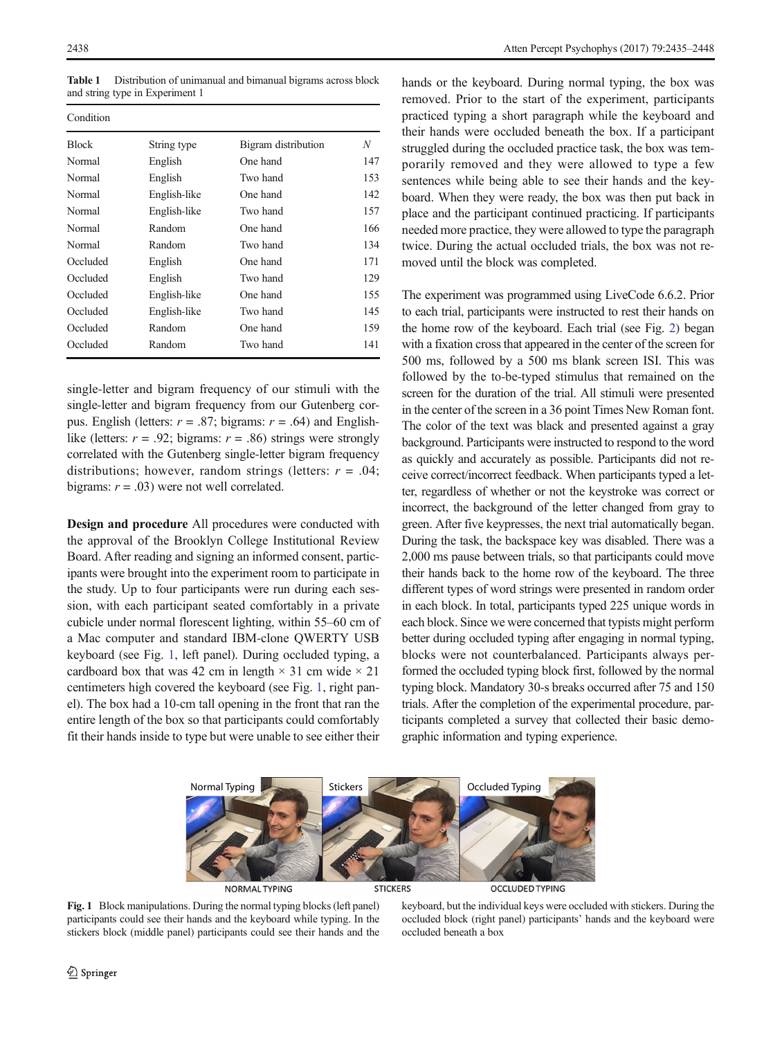and string type in Experiment 1

Condition Block String type Bigram distribution N Normal English One hand 147 Normal English Two hand 153 Normal English-like One hand 142 Normal English-like Two hand 157 Normal Random One hand 166 Normal Random Two hand 134 Occluded English One hand 171 Occluded English Two hand 129 Occluded English-like One hand 155 Occluded English-like Two hand 145 Occluded Random One hand 159 Occluded Random Two hand 141

<span id="page-3-0"></span>Table 1 Distribution of unimanual and bimanual bigrams across block

single-letter and bigram frequency of our stimuli with the single-letter and bigram frequency from our Gutenberg corpus. English (letters:  $r = .87$ ; bigrams:  $r = .64$ ) and Englishlike (letters:  $r = .92$ ; bigrams:  $r = .86$ ) strings were strongly correlated with the Gutenberg single-letter bigram frequency distributions; however, random strings (letters:  $r = .04$ ; bigrams:  $r = .03$ ) were not well correlated.

Design and procedure All procedures were conducted with the approval of the Brooklyn College Institutional Review Board. After reading and signing an informed consent, participants were brought into the experiment room to participate in the study. Up to four participants were run during each session, with each participant seated comfortably in a private cubicle under normal florescent lighting, within 55–60 cm of a Mac computer and standard IBM-clone QWERTY USB keyboard (see Fig. 1, left panel). During occluded typing, a cardboard box that was 42 cm in length  $\times$  31 cm wide  $\times$  21 centimeters high covered the keyboard (see Fig. 1, right panel). The box had a 10-cm tall opening in the front that ran the entire length of the box so that participants could comfortably fit their hands inside to type but were unable to see either their

hands or the keyboard. During normal typing, the box was removed. Prior to the start of the experiment, participants practiced typing a short paragraph while the keyboard and their hands were occluded beneath the box. If a participant struggled during the occluded practice task, the box was temporarily removed and they were allowed to type a few sentences while being able to see their hands and the keyboard. When they were ready, the box was then put back in place and the participant continued practicing. If participants needed more practice, they were allowed to type the paragraph twice. During the actual occluded trials, the box was not removed until the block was completed.

The experiment was programmed using LiveCode 6.6.2. Prior to each trial, participants were instructed to rest their hands on the home row of the keyboard. Each trial (see Fig. [2\)](#page-4-0) began with a fixation cross that appeared in the center of the screen for 500 ms, followed by a 500 ms blank screen ISI. This was followed by the to-be-typed stimulus that remained on the screen for the duration of the trial. All stimuli were presented in the center of the screen in a 36 point Times New Roman font. The color of the text was black and presented against a gray background. Participants were instructed to respond to the word as quickly and accurately as possible. Participants did not receive correct/incorrect feedback. When participants typed a letter, regardless of whether or not the keystroke was correct or incorrect, the background of the letter changed from gray to green. After five keypresses, the next trial automatically began. During the task, the backspace key was disabled. There was a 2,000 ms pause between trials, so that participants could move their hands back to the home row of the keyboard. The three different types of word strings were presented in random order in each block. In total, participants typed 225 unique words in each block. Since we were concerned that typists might perform better during occluded typing after engaging in normal typing, blocks were not counterbalanced. Participants always performed the occluded typing block first, followed by the normal typing block. Mandatory 30-s breaks occurred after 75 and 150 trials. After the completion of the experimental procedure, participants completed a survey that collected their basic demographic information and typing experience.



Fig. 1 Block manipulations. During the normal typing blocks (left panel) participants could see their hands and the keyboard while typing. In the stickers block (middle panel) participants could see their hands and the

keyboard, but the individual keys were occluded with stickers. During the occluded block (right panel) participants' hands and the keyboard were occluded beneath a box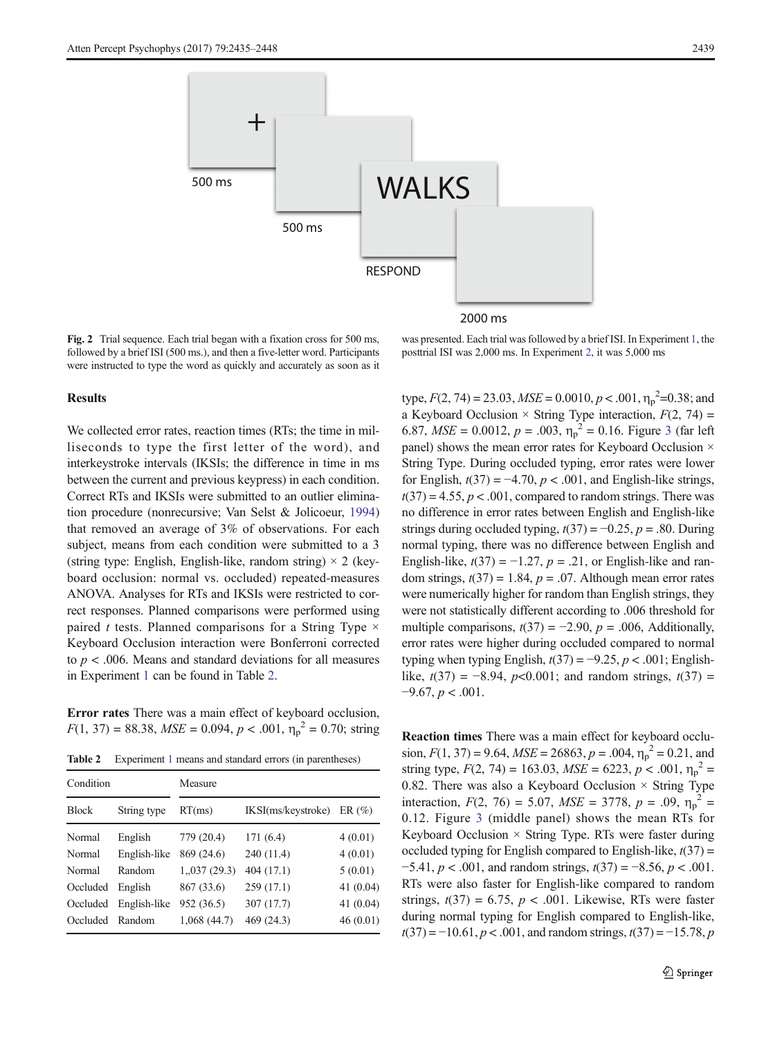<span id="page-4-0"></span>

Fig. 2 Trial sequence. Each trial began with a fixation cross for 500 ms, followed by a brief ISI (500 ms.), and then a five-letter word. Participants were instructed to type the word as quickly and accurately as soon as it

was presented. Each trial was followed by a brief ISI. In Experiment [1,](#page-2-0) the posttrial ISI was 2,000 ms. In Experiment [2](#page-5-0), it was 5,000 ms

#### **Results**

We collected error rates, reaction times (RTs; the time in milliseconds to type the first letter of the word), and interkeystroke intervals (IKSIs; the difference in time in ms between the current and previous keypress) in each condition. Correct RTs and IKSIs were submitted to an outlier elimination procedure (nonrecursive; Van Selst & Jolicoeur, [1994\)](#page-13-0) that removed an average of 3% of observations. For each subject, means from each condition were submitted to a 3 (string type: English, English-like, random string)  $\times$  2 (keyboard occlusion: normal vs. occluded) repeated-measures ANOVA. Analyses for RTs and IKSIs were restricted to correct responses. Planned comparisons were performed using paired t tests. Planned comparisons for a String Type  $\times$ Keyboard Occlusion interaction were Bonferroni corrected to  $p < .006$ . Means and standard deviations for all measures in Experiment [1](#page-2-0) can be found in Table 2.

Error rates There was a main effect of keyboard occlusion,  $F(1, 37) = 88.38, MSE = 0.094, p < .001, \eta_p^2 = 0.70$ ; string

Table 2 Experiment [1](#page-2-0) means and standard errors (in parentheses)

| Condition    |              | Measure      |                    |             |  |
|--------------|--------------|--------------|--------------------|-------------|--|
| <b>Block</b> | String type  | RT(ms)       | IKSI(ms/keystroke) | ER(%)       |  |
| Normal       | English      | 779 (20.4)   | 171(6.4)           | 4(0.01)     |  |
| Normal       | English-like | 869 (24.6)   | 240 (11.4)         | 4(0.01)     |  |
| Normal       | Random       | 1,037(29.3)  | 404 (17.1)         | 5(0.01)     |  |
| Occluded     | English      | 867 (33.6)   | 259 (17.1)         | 41(0.04)    |  |
| Occluded     | English-like | 952 (36.5)   | 307 (17.7)         | 41 $(0.04)$ |  |
| Occluded     | Random       | 1,068 (44.7) | 469 (24.3)         | 46(0.01)    |  |

type,  $F(2, 74) = 23.03$ ,  $MSE = 0.0010$ ,  $p < .001$ ,  $\eta_p^2 = 0.38$ ; and a Keyboard Occlusion  $\times$  String Type interaction,  $F(2, 74) =$ 6.87,  $MSE = 0.0012$ ,  $p = .003$  $p = .003$ ,  $\eta_p^2 = 0.16$ . Figure 3 (far left panel) shows the mean error rates for Keyboard Occlusion  $\times$ String Type. During occluded typing, error rates were lower for English,  $t(37) = -4.70$ ,  $p < .001$ , and English-like strings,  $t(37) = 4.55$ ,  $p < .001$ , compared to random strings. There was no difference in error rates between English and English-like strings during occluded typing,  $t(37) = -0.25$ ,  $p = .80$ . During normal typing, there was no difference between English and English-like,  $t(37) = -1.27$ ,  $p = .21$ , or English-like and random strings,  $t(37) = 1.84$ ,  $p = .07$ . Although mean error rates were numerically higher for random than English strings, they were not statistically different according to .006 threshold for multiple comparisons,  $t(37) = -2.90$ ,  $p = .006$ , Additionally, error rates were higher during occluded compared to normal typing when typing English,  $t(37) = -9.25$ ,  $p < .001$ ; Englishlike,  $t(37) = -8.94$ ,  $p<0.001$ ; and random strings,  $t(37) =$  $-9.67, p < .001$ .

Reaction times There was a main effect for keyboard occlusion,  $F(1, 37) = 9.64$ ,  $MSE = 26863$ ,  $p = .004$ ,  $\eta_p^2 = 0.21$ , and string type,  $F(2, 74) = 163.03$ ,  $MSE = 6223$ ,  $p < .001$ ,  $\eta_p^2 =$ 0.82. There was also a Keyboard Occlusion  $\times$  String Type interaction,  $F(2, 76) = 5.07$ ,  $MSE = 3778$ ,  $p = .09$ ,  $\eta_p^2 =$ 0.12. Figure [3](#page-5-0) (middle panel) shows the mean RTs for Keyboard Occlusion  $\times$  String Type. RTs were faster during occluded typing for English compared to English-like,  $t(37)$  =  $-5.41, p < .001$ , and random strings,  $t(37) = -8.56, p < .001$ . RTs were also faster for English-like compared to random strings,  $t(37) = 6.75$ ,  $p < .001$ . Likewise, RTs were faster during normal typing for English compared to English-like,  $t(37) = -10.61, p < .001$ , and random strings,  $t(37) = -15.78, p$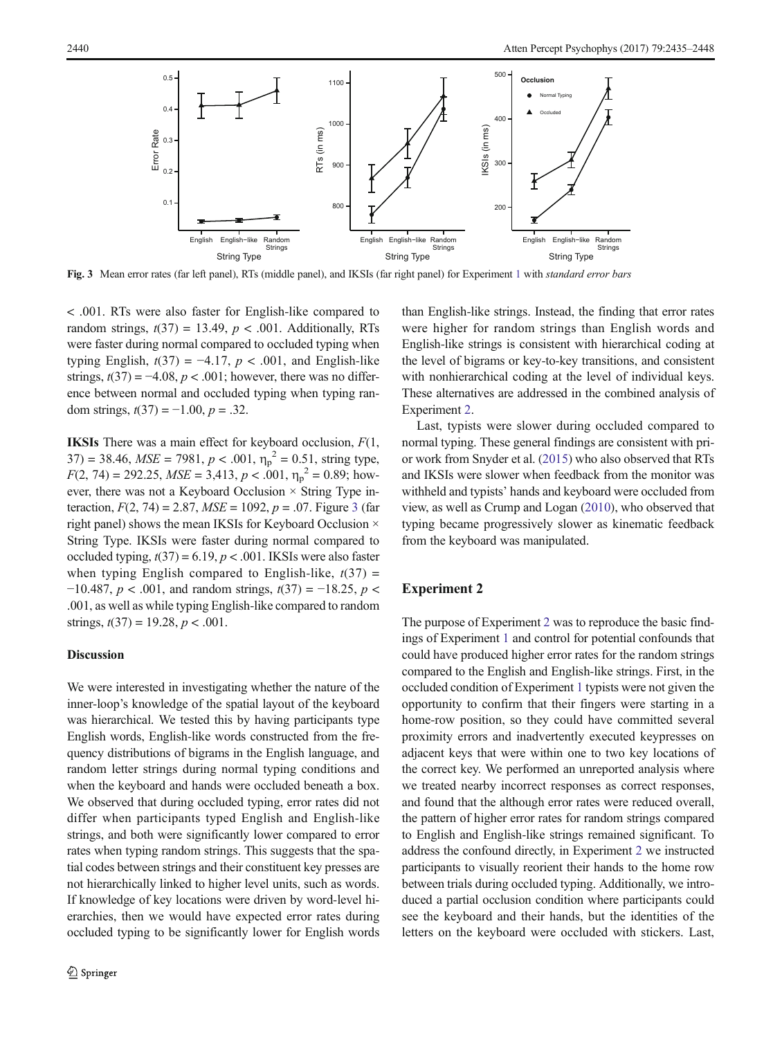<span id="page-5-0"></span>

Fig. 3 Mean error rates (far left panel), RTs (middle panel), and IKSIs (far right panel) for Experiment [1](#page-2-0) with standard error bars

< .001. RTs were also faster for English-like compared to random strings,  $t(37) = 13.49$ ,  $p < .001$ . Additionally, RTs were faster during normal compared to occluded typing when typing English,  $t(37) = -4.17$ ,  $p < .001$ , and English-like strings,  $t(37) = -4.08$ ,  $p < .001$ ; however, there was no difference between normal and occluded typing when typing random strings,  $t(37) = -1.00$ ,  $p = .32$ .

**IKSIs** There was a main effect for keyboard occlusion,  $F(1, 1)$  $37$ ) = 38.46,  $MSE = 7981$ ,  $p < .001$ ,  $\eta_p^2 = 0.51$ , string type,  $F(2, 74) = 292.25, \text{MSE} = 3,413, \text{ p} < .001, \eta_p^2 = 0.89; \text{ how-}$ ever, there was not a Keyboard Occlusion × String Type interaction,  $F(2, 74) = 2.87$ ,  $MSE = 1092$ ,  $p = .07$ . Figure 3 (far right panel) shows the mean IKSIs for Keyboard Occlusion × String Type. IKSIs were faster during normal compared to occluded typing,  $t(37) = 6.19$ ,  $p < .001$ . IKSIs were also faster when typing English compared to English-like,  $t(37)$  =  $-10.487, p < .001$ , and random strings,  $t(37) = -18.25, p <$ .001, as well as while typing English-like compared to random strings,  $t(37) = 19.28, p < .001$ .

# **Discussion**

We were interested in investigating whether the nature of the inner-loop's knowledge of the spatial layout of the keyboard was hierarchical. We tested this by having participants type English words, English-like words constructed from the frequency distributions of bigrams in the English language, and random letter strings during normal typing conditions and when the keyboard and hands were occluded beneath a box. We observed that during occluded typing, error rates did not differ when participants typed English and English-like strings, and both were significantly lower compared to error rates when typing random strings. This suggests that the spatial codes between strings and their constituent key presses are not hierarchically linked to higher level units, such as words. If knowledge of key locations were driven by word-level hierarchies, then we would have expected error rates during occluded typing to be significantly lower for English words than English-like strings. Instead, the finding that error rates were higher for random strings than English words and English-like strings is consistent with hierarchical coding at the level of bigrams or key-to-key transitions, and consistent with nonhierarchical coding at the level of individual keys. These alternatives are addressed in the combined analysis of Experiment 2.

Last, typists were slower during occluded compared to normal typing. These general findings are consistent with prior work from Snyder et al. [\(2015\)](#page-13-0) who also observed that RTs and IKSIs were slower when feedback from the monitor was withheld and typists' hands and keyboard were occluded from view, as well as Crump and Logan ([2010](#page-12-0)), who observed that typing became progressively slower as kinematic feedback from the keyboard was manipulated.

## Experiment 2

The purpose of Experiment 2 was to reproduce the basic findings of Experiment [1](#page-2-0) and control for potential confounds that could have produced higher error rates for the random strings compared to the English and English-like strings. First, in the occluded condition of Experiment [1](#page-2-0) typists were not given the opportunity to confirm that their fingers were starting in a home-row position, so they could have committed several proximity errors and inadvertently executed keypresses on adjacent keys that were within one to two key locations of the correct key. We performed an unreported analysis where we treated nearby incorrect responses as correct responses, and found that the although error rates were reduced overall, the pattern of higher error rates for random strings compared to English and English-like strings remained significant. To address the confound directly, in Experiment 2 we instructed participants to visually reorient their hands to the home row between trials during occluded typing. Additionally, we introduced a partial occlusion condition where participants could see the keyboard and their hands, but the identities of the letters on the keyboard were occluded with stickers. Last,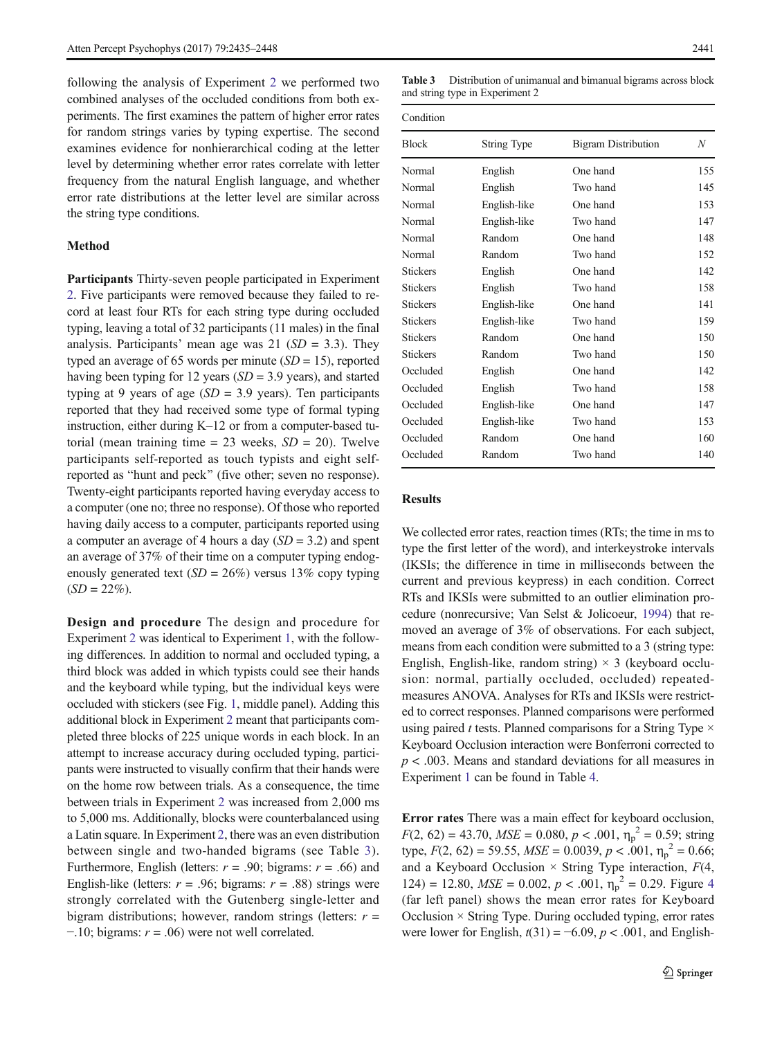following the analysis of Experiment [2](#page-5-0) we performed two combined analyses of the occluded conditions from both experiments. The first examines the pattern of higher error rates for random strings varies by typing expertise. The second examines evidence for nonhierarchical coding at the letter level by determining whether error rates correlate with letter frequency from the natural English language, and whether error rate distributions at the letter level are similar across the string type conditions.

## Method

Participants Thirty-seven people participated in Experiment [2.](#page-5-0) Five participants were removed because they failed to record at least four RTs for each string type during occluded typing, leaving a total of 32 participants (11 males) in the final analysis. Participants' mean age was 21  $(SD = 3.3)$ . They typed an average of 65 words per minute  $(SD = 15)$ , reported having been typing for 12 years ( $SD = 3.9$  years), and started typing at 9 years of age  $(SD = 3.9$  years). Ten participants reported that they had received some type of formal typing instruction, either during K–12 or from a computer-based tutorial (mean training time  $= 23$  weeks,  $SD = 20$ ). Twelve participants self-reported as touch typists and eight selfreported as "hunt and peck" (five other; seven no response). Twenty-eight participants reported having everyday access to a computer (one no; three no response). Of those who reported having daily access to a computer, participants reported using a computer an average of 4 hours a day  $(SD = 3.2)$  and spent an average of 37% of their time on a computer typing endogenously generated text  $(SD = 26\%)$  versus 13% copy typing  $(SD = 22\%)$ .

Design and procedure The design and procedure for Experiment [2](#page-5-0) was identical to Experiment [1,](#page-2-0) with the following differences. In addition to normal and occluded typing, a third block was added in which typists could see their hands and the keyboard while typing, but the individual keys were occluded with stickers (see Fig. [1](#page-3-0), middle panel). Adding this additional block in Experiment [2](#page-5-0) meant that participants completed three blocks of 225 unique words in each block. In an attempt to increase accuracy during occluded typing, participants were instructed to visually confirm that their hands were on the home row between trials. As a consequence, the time between trials in Experiment [2](#page-5-0) was increased from 2,000 ms to 5,000 ms. Additionally, blocks were counterbalanced using a Latin square. In Experiment [2,](#page-5-0) there was an even distribution between single and two-handed bigrams (see Table 3). Furthermore, English (letters:  $r = .90$ ; bigrams:  $r = .66$ ) and English-like (letters:  $r = .96$ ; bigrams:  $r = .88$ ) strings were strongly correlated with the Gutenberg single-letter and bigram distributions; however, random strings (letters:  $r =$  $-10$ ; bigrams:  $r = .06$ ) were not well correlated.

Table 3 Distribution of unimanual and bimanual bigrams across block and string type in Experiment 2

| <b>Block</b>    | String Type  | <b>Bigram Distribution</b> | N   |  |
|-----------------|--------------|----------------------------|-----|--|
| Normal          | English      | One hand                   | 155 |  |
| Normal          | English      | Two hand                   | 145 |  |
| Normal          | English-like | One hand                   | 153 |  |
| Normal          | English-like | Two hand                   | 147 |  |
| Normal          | Random       | One hand                   | 148 |  |
| Normal          | Random       | Two hand                   | 152 |  |
| <b>Stickers</b> | English      | One hand                   | 142 |  |
| <b>Stickers</b> | English      | Two hand                   | 158 |  |
| <b>Stickers</b> | English-like | One hand                   | 141 |  |
| <b>Stickers</b> | English-like | Two hand                   | 159 |  |
| <b>Stickers</b> | Random       | One hand                   | 150 |  |
| <b>Stickers</b> | Random       | Two hand                   | 150 |  |
| Occluded        | English      | One hand                   | 142 |  |
| Occluded        | English      | Two hand                   | 158 |  |
| Occluded        | English-like | One hand                   | 147 |  |
| Occluded        | English-like | Two hand                   | 153 |  |
| Occluded        | Random       | One hand                   | 160 |  |
| Occluded        | Random       | Two hand                   | 140 |  |
|                 |              |                            |     |  |

## Results

We collected error rates, reaction times (RTs; the time in ms to type the first letter of the word), and interkeystroke intervals (IKSIs; the difference in time in milliseconds between the current and previous keypress) in each condition. Correct RTs and IKSIs were submitted to an outlier elimination procedure (nonrecursive; Van Selst & Jolicoeur, [1994\)](#page-13-0) that removed an average of 3% of observations. For each subject, means from each condition were submitted to a 3 (string type: English, English-like, random string)  $\times$  3 (keyboard occlusion: normal, partially occluded, occluded) repeatedmeasures ANOVA. Analyses for RTs and IKSIs were restricted to correct responses. Planned comparisons were performed using paired t tests. Planned comparisons for a String Type  $\times$ Keyboard Occlusion interaction were Bonferroni corrected to  $p < .003$ . Means and standard deviations for all measures in Experiment [1](#page-2-0) can be found in Table [4.](#page-7-0)

Error rates There was a main effect for keyboard occlusion,  $F(2, 62) = 43.70, \text{MSE} = 0.080, p < .001, \eta_p^2 = 0.59$ ; string type,  $F(2, 62) = 59.55$ ,  $MSE = 0.0039$ ,  $p < .001$ ,  $\eta_p^2 = 0.66$ ; and a Keyboard Occlusion  $\times$  String Type interaction,  $F(4)$ , 12[4](#page-7-0)) = 12.80,  $MSE = 0.002$ ,  $p < .001$ ,  $\eta_p^2 = 0.29$ . Figure 4 (far left panel) shows the mean error rates for Keyboard Occlusion  $\times$  String Type. During occluded typing, error rates were lower for English,  $t(31) = -6.09$ ,  $p < .001$ , and English-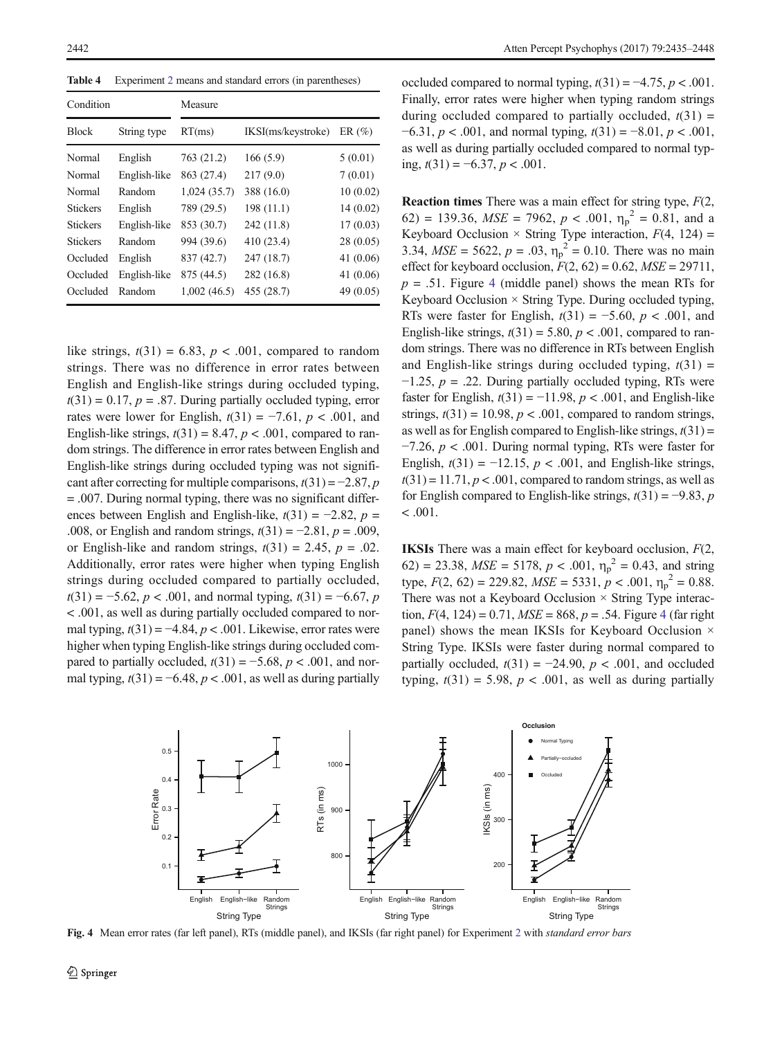<span id="page-7-0"></span>Table 4 Experiment [2](#page-5-0) means and standard errors (in parentheses)

| Condition                   |              | Measure     |                    |           |  |
|-----------------------------|--------------|-------------|--------------------|-----------|--|
| <b>Block</b><br>String type |              | RT(ms)      | IKSI(ms/keystroke) | ER $(\%)$ |  |
| Normal                      | English      | 763 (21.2)  | 166 (5.9)          | 5(0.01)   |  |
| Normal                      | English-like | 863 (27.4)  | 217(9.0)           | 7(0.01)   |  |
| Normal                      | Random       | 1,024(35.7) | 388 (16.0)         | 10(0.02)  |  |
| <b>Stickers</b>             | English      | 789 (29.5)  | 198 (11.1)         | 14(0.02)  |  |
| <b>Stickers</b>             | English-like | 853 (30.7)  | 242 (11.8)         | 17(0.03)  |  |
| <b>Stickers</b>             | Random       | 994 (39.6)  | 410 (23.4)         | 28(0.05)  |  |
| Occluded                    | English      | 837 (42.7)  | 247 (18.7)         | 41(0.06)  |  |
| Occluded                    | English-like | 875 (44.5)  | 282 (16.8)         | 41(0.06)  |  |
| Occluded                    | Random       | 1,002(46.5) | 455 (28.7)         | 49 (0.05) |  |

like strings,  $t(31) = 6.83$ ,  $p < .001$ , compared to random strings. There was no difference in error rates between English and English-like strings during occluded typing,  $t(31) = 0.17$ ,  $p = .87$ . During partially occluded typing, error rates were lower for English,  $t(31) = -7.61$ ,  $p < .001$ , and English-like strings,  $t(31) = 8.47$ ,  $p < .001$ , compared to random strings. The difference in error rates between English and English-like strings during occluded typing was not significant after correcting for multiple comparisons,  $t(31) = -2.87$ , p = .007. During normal typing, there was no significant differences between English and English-like,  $t(31) = -2.82$ ,  $p =$ .008, or English and random strings,  $t(31) = -2.81$ ,  $p = .009$ , or English-like and random strings,  $t(31) = 2.45$ ,  $p = .02$ . Additionally, error rates were higher when typing English strings during occluded compared to partially occluded,  $t(31) = -5.62$ ,  $p < .001$ , and normal typing,  $t(31) = -6.67$ , p < .001, as well as during partially occluded compared to normal typing,  $t(31) = -4.84$ ,  $p < .001$ . Likewise, error rates were higher when typing English-like strings during occluded compared to partially occluded,  $t(31) = -5.68$ ,  $p < .001$ , and normal typing,  $t(31) = -6.48$ ,  $p < .001$ , as well as during partially

occluded compared to normal typing,  $t(31) = -4.75$ ,  $p < .001$ . Finally, error rates were higher when typing random strings during occluded compared to partially occluded,  $t(31)$  =  $-6.31, p < .001$ , and normal typing,  $t(31) = -8.01, p < .001$ , as well as during partially occluded compared to normal typing, t(31) = −6.37, p < .001.

**Reaction times** There was a main effect for string type,  $F(2)$ , 62) = 139.36,  $MSE = 7962$ ,  $p < .001$ ,  $\eta_p^2 = 0.81$ , and a Keyboard Occlusion  $\times$  String Type interaction,  $F(4, 124)$  = 3.34,  $MSE = 5622$ ,  $p = .03$ ,  $\eta_p^2 = 0.10$ . There was no main effect for keyboard occlusion,  $F(2, 62) = 0.62$ ,  $MSE = 29711$ ,  $p = .51$ . Figure 4 (middle panel) shows the mean RTs for Keyboard Occlusion  $\times$  String Type. During occluded typing, RTs were faster for English,  $t(31) = -5.60$ ,  $p < .001$ , and English-like strings,  $t(31) = 5.80$ ,  $p < .001$ , compared to random strings. There was no difference in RTs between English and English-like strings during occluded typing,  $t(31)$  =  $-1.25$ ,  $p = .22$ . During partially occluded typing, RTs were faster for English,  $t(31) = -11.98$ ,  $p < .001$ , and English-like strings,  $t(31) = 10.98$ ,  $p < .001$ , compared to random strings, as well as for English compared to English-like strings,  $t(31)$  =  $-7.26$ ,  $p < .001$ . During normal typing, RTs were faster for English,  $t(31) = -12.15$ ,  $p < .001$ , and English-like strings,  $t(31) = 11.71, p < .001$ , compared to random strings, as well as for English compared to English-like strings,  $t(31) = -9.83$ , p  $< 0.001$ .

**IKSIs** There was a main effect for keyboard occlusion,  $F(2)$ , 62) = 23.38,  $MSE = 5178$ ,  $p < .001$ ,  $\eta_p^2 = 0.43$ , and string type,  $F(2, 62) = 229.82$ ,  $MSE = 5331$ ,  $p < .001$ ,  $\eta_p^2 = 0.88$ . There was not a Keyboard Occlusion  $\times$  String Type interaction,  $F(4, 124) = 0.71$ ,  $MSE = 868$ ,  $p = .54$ . Figure 4 (far right panel) shows the mean IKSIs for Keyboard Occlusion × String Type. IKSIs were faster during normal compared to partially occluded,  $t(31) = -24.90$ ,  $p < .001$ , and occluded typing,  $t(31) = 5.98$ ,  $p < .001$ , as well as during partially



Fig. 4 Mean error rates (far left panel), RTs (middle panel), and IKSIs (far right panel) for Experiment [2](#page-5-0) with standard error bars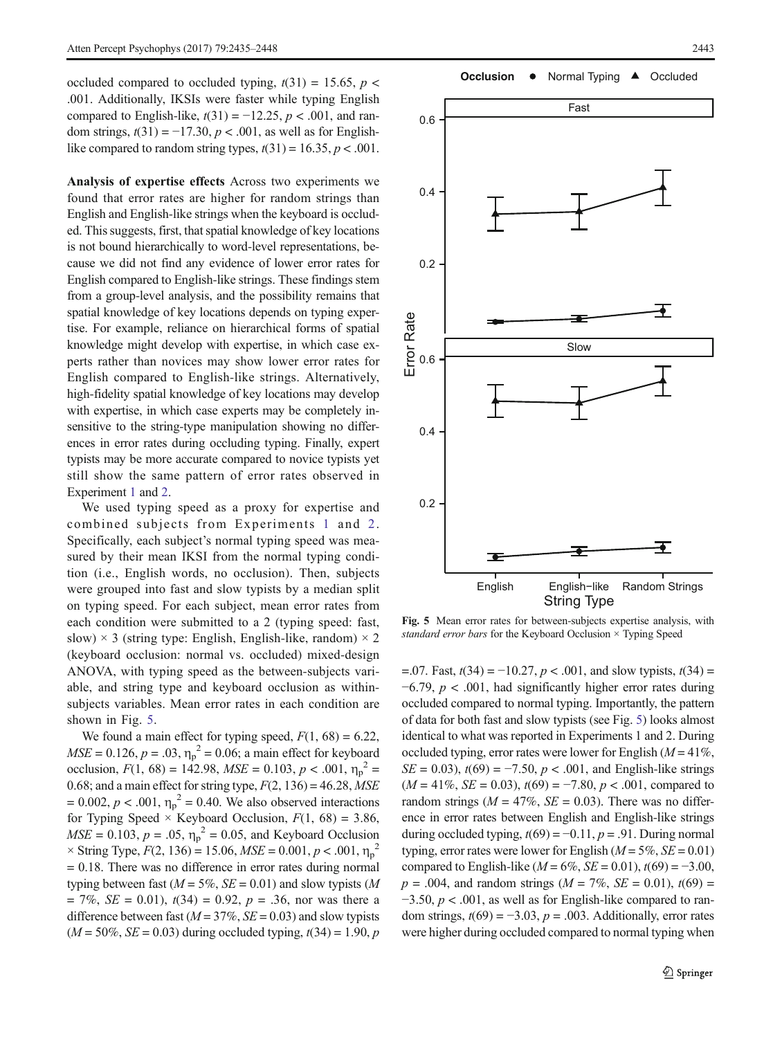occluded compared to occluded typing,  $t(31) = 15.65$ ,  $p <$ .001. Additionally, IKSIs were faster while typing English compared to English-like,  $t(31) = -12.25$ ,  $p < .001$ , and random strings,  $t(31) = -17.30$ ,  $p < .001$ , as well as for Englishlike compared to random string types,  $t(31) = 16.35$ ,  $p < .001$ .

Analysis of expertise effects Across two experiments we found that error rates are higher for random strings than English and English-like strings when the keyboard is occluded. This suggests, first, that spatial knowledge of key locations is not bound hierarchically to word-level representations, because we did not find any evidence of lower error rates for English compared to English-like strings. These findings stem from a group-level analysis, and the possibility remains that spatial knowledge of key locations depends on typing expertise. For example, reliance on hierarchical forms of spatial knowledge might develop with expertise, in which case experts rather than novices may show lower error rates for English compared to English-like strings. Alternatively, high-fidelity spatial knowledge of key locations may develop with expertise, in which case experts may be completely insensitive to the string-type manipulation showing no differences in error rates during occluding typing. Finally, expert typists may be more accurate compared to novice typists yet still show the same pattern of error rates observed in Experiment [1](#page-2-0) and [2](#page-5-0).

We used typing speed as a proxy for expertise and combined subjects from Experiments [1](#page-2-0) and [2.](#page-5-0) Specifically, each subject's normal typing speed was measured by their mean IKSI from the normal typing condition (i.e., English words, no occlusion). Then, subjects were grouped into fast and slow typists by a median split on typing speed. For each subject, mean error rates from each condition were submitted to a 2 (typing speed: fast, slow)  $\times$  3 (string type: English, English-like, random)  $\times$  2 (keyboard occlusion: normal vs. occluded) mixed-design ANOVA, with typing speed as the between-subjects variable, and string type and keyboard occlusion as withinsubjects variables. Mean error rates in each condition are shown in Fig. 5.

We found a main effect for typing speed,  $F(1, 68) = 6.22$ ,  $MSE = 0.126, p = .03, \eta_p^2 = 0.06$ ; a main effect for keyboard occlusion,  $F(1, 68) = 142.98$ ,  $MSE = 0.103$ ,  $p < .001$ ,  $\eta_p^2 =$ 0.68; and a main effect for string type,  $F(2, 136) = 46.28$ , MSE  $= 0.002, p < .001, \eta_p^2 = 0.40$ . We also observed interactions for Typing Speed  $\times$  Keyboard Occlusion,  $F(1, 68) = 3.86$ ,  $MSE = 0.103$ ,  $p = .05$ ,  $\eta_p^2 = 0.05$ , and Keyboard Occlusion  $\times$  String Type,  $F(2, 136) = 15.06$ ,  $MSE = 0.001$ ,  $p < .001$ ,  $\eta_p^2$  $= 0.18$ . There was no difference in error rates during normal typing between fast ( $M = 5\%$ ,  $SE = 0.01$ ) and slow typists (M  $= 7\%, SE = 0.01$ ,  $t(34) = 0.92$ ,  $p = .36$ , nor was there a difference between fast ( $M = 37\%$ ,  $SE = 0.03$ ) and slow typists  $(M = 50\%, SE = 0.03)$  during occluded typing,  $t(34) = 1.90$ , p



Fig. 5 Mean error rates for between-subjects expertise analysis, with standard error bars for the Keyboard Occlusion × Typing Speed

=.07. Fast,  $t(34) = -10.27$ ,  $p < .001$ , and slow typists,  $t(34) =$  $-6.79$ ,  $p < .001$ , had significantly higher error rates during occluded compared to normal typing. Importantly, the pattern of data for both fast and slow typists (see Fig. 5) looks almost identical to what was reported in Experiments 1 and 2. During occluded typing, error rates were lower for English  $(M = 41\%$ ,  $SE = 0.03$ ,  $t(69) = -7.50$ ,  $p < .001$ , and English-like strings  $(M = 41\%, SE = 0.03), t(69) = -7.80, p < .001$ , compared to random strings ( $M = 47\%$ ,  $SE = 0.03$ ). There was no difference in error rates between English and English-like strings during occluded typing,  $t(69) = -0.11$ ,  $p = .91$ . During normal typing, error rates were lower for English ( $M = 5\%$ ,  $SE = 0.01$ ) compared to English-like ( $M = 6\%$ ,  $SE = 0.01$ ),  $t(69) = -3.00$ ,  $p = .004$ , and random strings ( $M = 7\%$ ,  $SE = 0.01$ ),  $t(69) =$  $-3.50, p < .001$ , as well as for English-like compared to random strings,  $t(69) = -3.03$ ,  $p = .003$ . Additionally, error rates were higher during occluded compared to normal typing when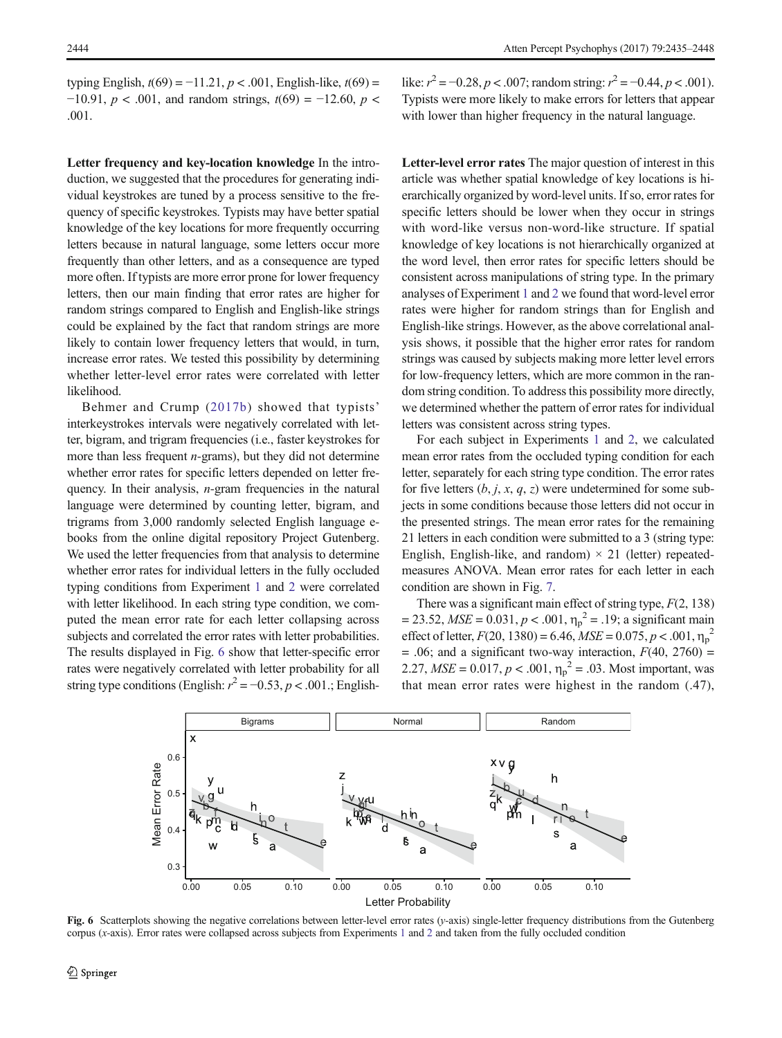typing English,  $t(69) = -11.21$ ,  $p < .001$ , English-like,  $t(69) =$  $-10.91, p < .001$ , and random strings,  $t(69) = -12.60, p <$ .001.

Letter frequency and key-location knowledge In the introduction, we suggested that the procedures for generating individual keystrokes are tuned by a process sensitive to the frequency of specific keystrokes. Typists may have better spatial knowledge of the key locations for more frequently occurring letters because in natural language, some letters occur more frequently than other letters, and as a consequence are typed more often. If typists are more error prone for lower frequency letters, then our main finding that error rates are higher for random strings compared to English and English-like strings could be explained by the fact that random strings are more likely to contain lower frequency letters that would, in turn, increase error rates. We tested this possibility by determining whether letter-level error rates were correlated with letter likelihood.

Behmer and Crump ([2017b](#page-12-0)) showed that typists' interkeystrokes intervals were negatively correlated with letter, bigram, and trigram frequencies (i.e., faster keystrokes for more than less frequent  $n$ -grams), but they did not determine whether error rates for specific letters depended on letter frequency. In their analysis, *n*-gram frequencies in the natural language were determined by counting letter, bigram, and trigrams from 3,000 randomly selected English language ebooks from the online digital repository Project Gutenberg. We used the letter frequencies from that analysis to determine whether error rates for individual letters in the fully occluded typing conditions from Experiment [1](#page-2-0) and [2](#page-5-0) were correlated with letter likelihood. In each string type condition, we computed the mean error rate for each letter collapsing across subjects and correlated the error rates with letter probabilities. The results displayed in Fig. 6 show that letter-specific error rates were negatively correlated with letter probability for all string type conditions (English:  $r^2 = -0.53$ ,  $p < .001$ .; English-

like:  $r^2 = -0.28$ ,  $p < .007$ ; random string:  $r^2 = -0.44$ ,  $p < .001$ ). Typists were more likely to make errors for letters that appear with lower than higher frequency in the natural language.

Letter-level error rates The major question of interest in this article was whether spatial knowledge of key locations is hierarchically organized by word-level units. If so, error rates for specific letters should be lower when they occur in strings with word-like versus non-word-like structure. If spatial knowledge of key locations is not hierarchically organized at the word level, then error rates for specific letters should be consistent across manipulations of string type. In the primary analyses of Experiment [1](#page-2-0) and [2](#page-5-0) we found that word-level error rates were higher for random strings than for English and English-like strings. However, as the above correlational analysis shows, it possible that the higher error rates for random strings was caused by subjects making more letter level errors for low-frequency letters, which are more common in the random string condition. To address this possibility more directly, we determined whether the pattern of error rates for individual letters was consistent across string types.

For each subject in Experiments [1](#page-2-0) and [2,](#page-5-0) we calculated mean error rates from the occluded typing condition for each letter, separately for each string type condition. The error rates for five letters  $(b, j, x, q, z)$  were undetermined for some subjects in some conditions because those letters did not occur in the presented strings. The mean error rates for the remaining 21 letters in each condition were submitted to a 3 (string type: English, English-like, and random)  $\times$  21 (letter) repeatedmeasures ANOVA. Mean error rates for each letter in each condition are shown in Fig. [7.](#page-10-0)

There was a significant main effect of string type,  $F(2, 138)$ = 23.52,  $MSE = 0.031$ ,  $p < .001$ ,  $\eta_p^2 = .19$ ; a significant main effect of letter,  $F(20, 1380) = 6.46$ ,  $MSE = 0.075$ ,  $p < .001$ ,  $\eta_p^2$ = .06; and a significant two-way interaction,  $F(40, 2760)$  = 2.27,  $MSE = 0.017$ ,  $p < .001$ ,  $\eta_p^2 = .03$ . Most important, was that mean error rates were highest in the random (.47),



Fig. 6 Scatterplots showing the negative correlations between letter-level error rates (y-axis) single-letter frequency distributions from the Gutenberg corpus (x-axis). Error rates were collapsed across subjects from Experiments [1](#page-2-0) and [2](#page-5-0) and taken from the fully occluded condition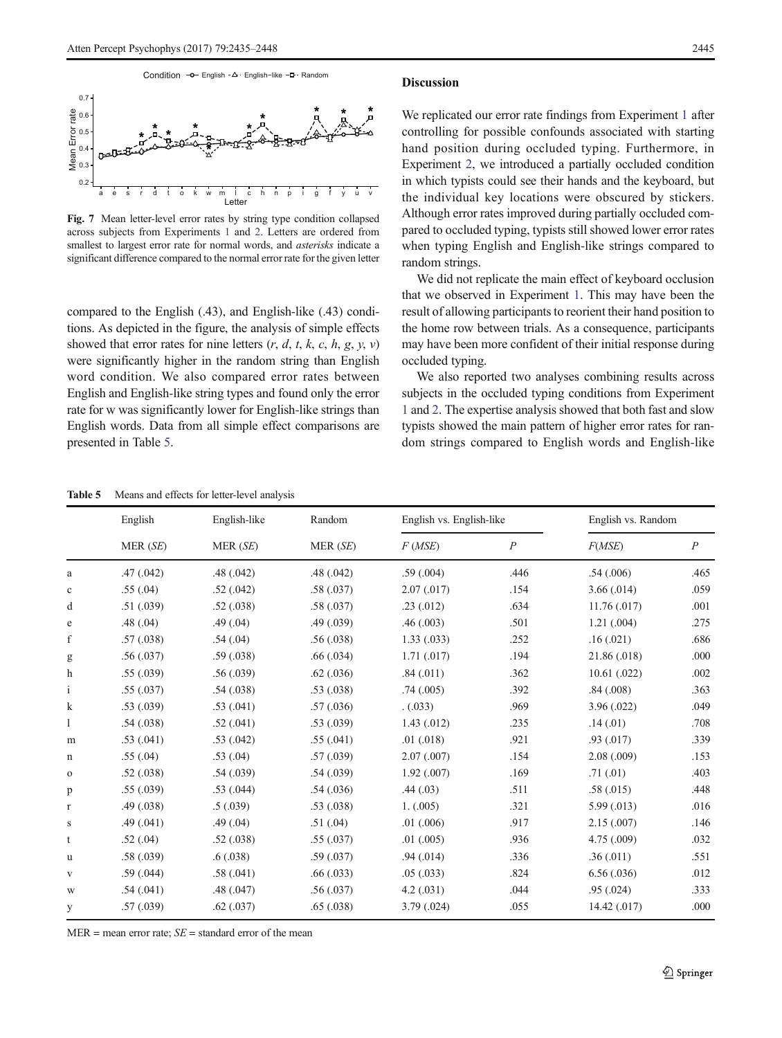<span id="page-10-0"></span>

Fig. 7 Mean letter-level error rates by string type condition collapsed across subjects from Experiments [1](#page-2-0) and [2](#page-5-0). Letters are ordered from smallest to largest error rate for normal words, and asterisks indicate a significant difference compared to the normal error rate for the given letter

compared to the English (.43), and English-like (.43) conditions. As depicted in the figure, the analysis of simple effects showed that error rates for nine letters  $(r, d, t, k, c, h, g, v, v)$ were significantly higher in the random string than English word condition. We also compared error rates between English and English-like string types and found only the error rate for w was significantly lower for English-like strings than English words. Data from all simple effect comparisons are presented in Table 5.

#### Discussion

We replicated our error rate findings from Experiment [1](#page-2-0) after controlling for possible confounds associated with starting hand position during occluded typing. Furthermore, in Experiment [2,](#page-5-0) we introduced a partially occluded condition in which typists could see their hands and the keyboard, but the individual key locations were obscured by stickers. Although error rates improved during partially occluded compared to occluded typing, typists still showed lower error rates when typing English and English-like strings compared to random strings.

We did not replicate the main effect of keyboard occlusion that we observed in Experiment [1.](#page-2-0) This may have been the result of allowing participants to reorient their hand position to the home row between trials. As a consequence, participants may have been more confident of their initial response during occluded typing.

We also reported two analyses combining results across subjects in the occluded typing conditions from Experiment [1](#page-2-0) and [2](#page-5-0). The expertise analysis showed that both fast and slow typists showed the main pattern of higher error rates for random strings compared to English words and English-like

Table 5 Means and effects for letter-level analysis

|              | English   | English-like | Random    |             | English vs. English-like |              | English vs. Random |  |
|--------------|-----------|--------------|-----------|-------------|--------------------------|--------------|--------------------|--|
|              | MER(SE)   | MER(SE)      | MER(SE)   | F(MSE)      | $\overline{P}$           | F(MSE)       | $\boldsymbol{P}$   |  |
| a            | .47(.042) | .48(.042)    | .48(.042) | .59(.004)   | .446                     | .54(.006)    | .465               |  |
| $\mathbf c$  | .55(.04)  | .52(.042)    | .58(.037) | 2.07(0.017) | .154                     | 3.66(.014)   | .059               |  |
| d            | .51(.039) | .52(.038)    | .58(.037) | .23(.012)   | .634                     | 11.76(.017)  | .001               |  |
| e            | .48(.04)  | .49(.04)     | .49(.039) | .46(.003)   | .501                     | 1.21(.004)   | .275               |  |
| $\mathbf f$  | .57(.038) | .54(.04)     | .56(.038) | 1.33(0.033) | .252                     | .16(.021)    | .686               |  |
| g            | .56(.037) | .59(0.038)   | .66(.034) | 1.71(0.017) | .194                     | 21.86 (.018) | .000               |  |
| h            | .55(.039) | .56(.039)    | .62(.036) | .84(.011)   | .362                     | 10.61(.022)  | .002               |  |
| $\mathbf{i}$ | .55(.037) | .54(.038)    | .53(.038) | .74(.005)   | .392                     | .84(.008)    | .363               |  |
| k            | .53(.039) | .53(.041)    | .57(.036) | (0.033)     | .969                     | 3.96(.022)   | .049               |  |
| 1            | .54(.038) | .52(.041)    | .53(.039) | 1.43(012)   | .235                     | .14(.01)     | .708               |  |
| m            | .53(.041) | .53(.042)    | .55(.041) | .01(.018)   | .921                     | .93(0.017)   | .339               |  |
| $\mathbf n$  | .55(.04)  | .53(.04)     | .57(.039) | 2.07(.007)  | .154                     | 2.08(.009)   | .153               |  |
| $\mathbf 0$  | .52(.038) | .54(.039)    | .54(.039) | 1.92(0.007) | .169                     | .71(01)      | .403               |  |
| p            | .55(.039) | .53(.044)    | .54(.036) | .44(.03)    | .511                     | .58(.015)    | .448               |  |
| $\mathbf r$  | .49(.038) | .5(.039)     | .53(.038) | 1. (0.005)  | .321                     | 5.99(.013)   | .016               |  |
| S            | .49(.041) | .49(.04)     | .51(.04)  | .01(.006)   | .917                     | 2.15(.007)   | .146               |  |
| t            | .52(.04)  | .52(.038)    | .55(.037) | .01(.005)   | .936                     | 4.75 (.009)  | .032               |  |
| u            | .58(.039) | .6(.038)     | .59(.037) | .94(0.014)  | .336                     | .36(.011)    | .551               |  |
| $\mathbf{V}$ | .59(.044) | .58(.041)    | .66(.033) | .05(.033)   | .824                     | 6.56(.036)   | .012               |  |
| W            | .54(.041) | .48(.047)    | .56(.037) | 4.2(.031)   | .044                     | .95(.024)    | .333               |  |
| У            | .57(.039) | .62(.037)    | .65(.038) | 3.79 (.024) | .055                     | 14.42 (.017) | .000               |  |

 $MER = mean error rate$ ;  $SE = standard error of the mean$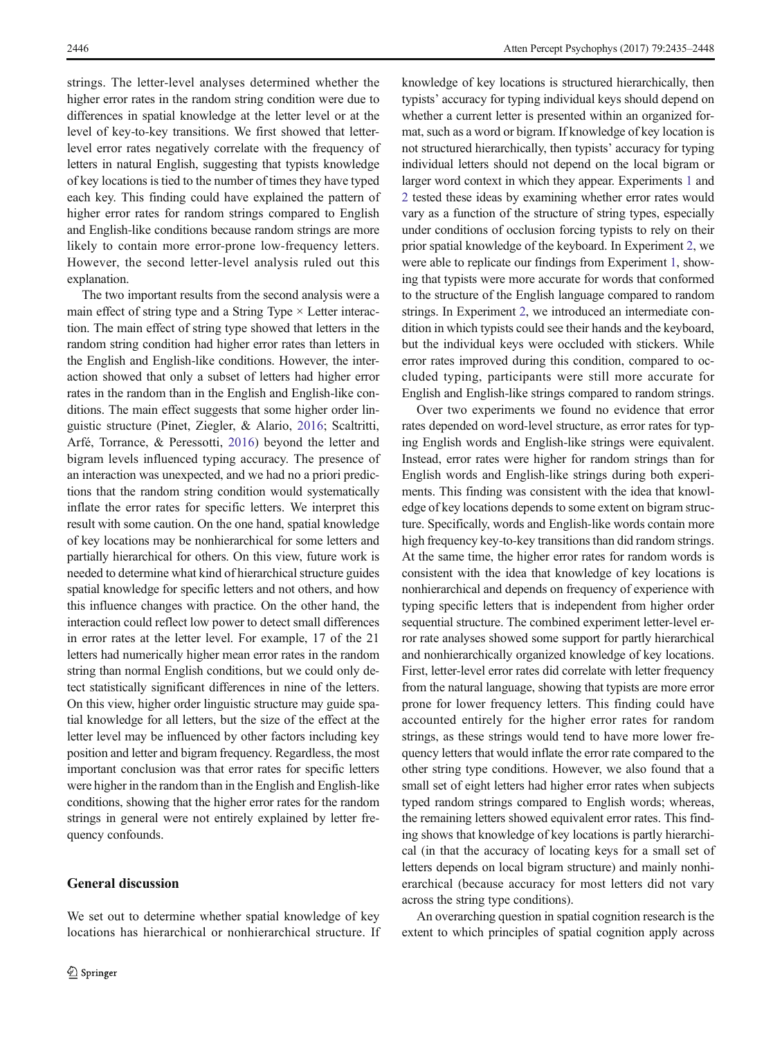strings. The letter-level analyses determined whether the higher error rates in the random string condition were due to differences in spatial knowledge at the letter level or at the level of key-to-key transitions. We first showed that letterlevel error rates negatively correlate with the frequency of letters in natural English, suggesting that typists knowledge of key locations is tied to the number of times they have typed each key. This finding could have explained the pattern of higher error rates for random strings compared to English and English-like conditions because random strings are more likely to contain more error-prone low-frequency letters. However, the second letter-level analysis ruled out this explanation.

The two important results from the second analysis were a main effect of string type and a String Type  $\times$  Letter interaction. The main effect of string type showed that letters in the random string condition had higher error rates than letters in the English and English-like conditions. However, the interaction showed that only a subset of letters had higher error rates in the random than in the English and English-like conditions. The main effect suggests that some higher order linguistic structure (Pinet, Ziegler, & Alario, [2016](#page-13-0); Scaltritti, Arfé, Torrance, & Peressotti, [2016\)](#page-13-0) beyond the letter and bigram levels influenced typing accuracy. The presence of an interaction was unexpected, and we had no a priori predictions that the random string condition would systematically inflate the error rates for specific letters. We interpret this result with some caution. On the one hand, spatial knowledge of key locations may be nonhierarchical for some letters and partially hierarchical for others. On this view, future work is needed to determine what kind of hierarchical structure guides spatial knowledge for specific letters and not others, and how this influence changes with practice. On the other hand, the interaction could reflect low power to detect small differences in error rates at the letter level. For example, 17 of the 21 letters had numerically higher mean error rates in the random string than normal English conditions, but we could only detect statistically significant differences in nine of the letters. On this view, higher order linguistic structure may guide spatial knowledge for all letters, but the size of the effect at the letter level may be influenced by other factors including key position and letter and bigram frequency. Regardless, the most important conclusion was that error rates for specific letters were higher in the random than in the English and English-like conditions, showing that the higher error rates for the random strings in general were not entirely explained by letter frequency confounds.

# General discussion

We set out to determine whether spatial knowledge of key locations has hierarchical or nonhierarchical structure. If

knowledge of key locations is structured hierarchically, then typists' accuracy for typing individual keys should depend on whether a current letter is presented within an organized format, such as a word or bigram. If knowledge of key location is not structured hierarchically, then typists' accuracy for typing individual letters should not depend on the local bigram or larger word context in which they appear. Experiments [1](#page-2-0) and [2](#page-5-0) tested these ideas by examining whether error rates would vary as a function of the structure of string types, especially under conditions of occlusion forcing typists to rely on their prior spatial knowledge of the keyboard. In Experiment [2,](#page-5-0) we were able to replicate our findings from Experiment [1](#page-2-0), showing that typists were more accurate for words that conformed to the structure of the English language compared to random strings. In Experiment [2,](#page-5-0) we introduced an intermediate condition in which typists could see their hands and the keyboard, but the individual keys were occluded with stickers. While error rates improved during this condition, compared to occluded typing, participants were still more accurate for English and English-like strings compared to random strings.

Over two experiments we found no evidence that error rates depended on word-level structure, as error rates for typing English words and English-like strings were equivalent. Instead, error rates were higher for random strings than for English words and English-like strings during both experiments. This finding was consistent with the idea that knowledge of key locations depends to some extent on bigram structure. Specifically, words and English-like words contain more high frequency key-to-key transitions than did random strings. At the same time, the higher error rates for random words is consistent with the idea that knowledge of key locations is nonhierarchical and depends on frequency of experience with typing specific letters that is independent from higher order sequential structure. The combined experiment letter-level error rate analyses showed some support for partly hierarchical and nonhierarchically organized knowledge of key locations. First, letter-level error rates did correlate with letter frequency from the natural language, showing that typists are more error prone for lower frequency letters. This finding could have accounted entirely for the higher error rates for random strings, as these strings would tend to have more lower frequency letters that would inflate the error rate compared to the other string type conditions. However, we also found that a small set of eight letters had higher error rates when subjects typed random strings compared to English words; whereas, the remaining letters showed equivalent error rates. This finding shows that knowledge of key locations is partly hierarchical (in that the accuracy of locating keys for a small set of letters depends on local bigram structure) and mainly nonhierarchical (because accuracy for most letters did not vary across the string type conditions).

An overarching question in spatial cognition research is the extent to which principles of spatial cognition apply across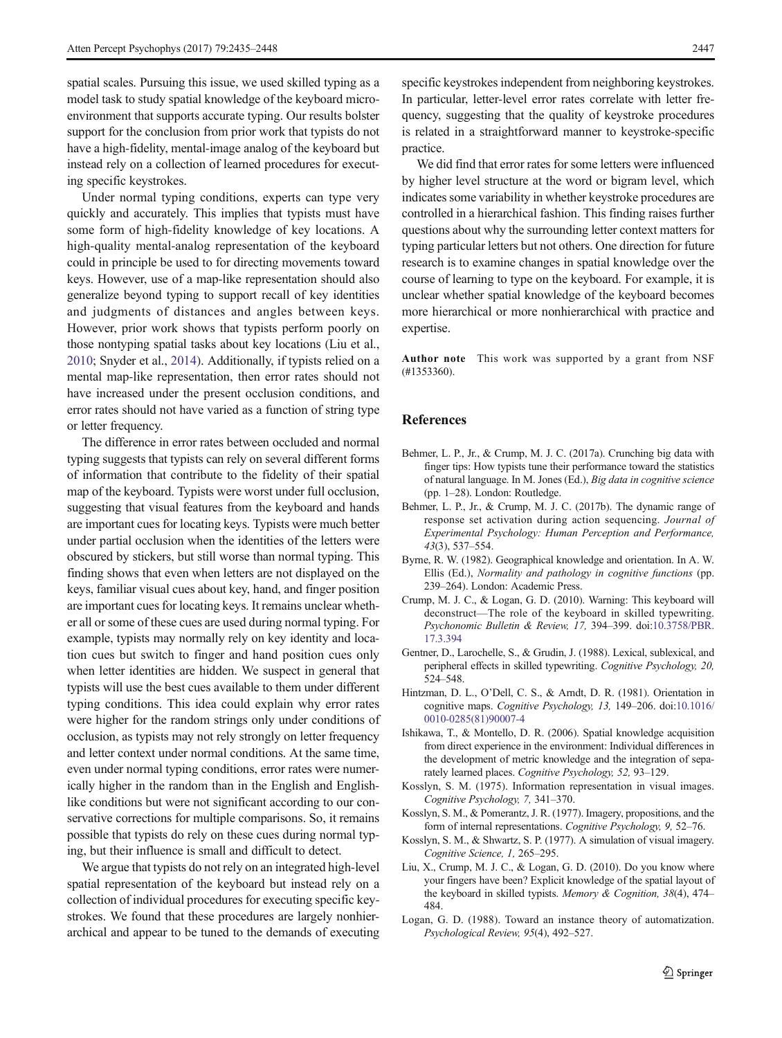<span id="page-12-0"></span>spatial scales. Pursuing this issue, we used skilled typing as a model task to study spatial knowledge of the keyboard microenvironment that supports accurate typing. Our results bolster support for the conclusion from prior work that typists do not have a high-fidelity, mental-image analog of the keyboard but instead rely on a collection of learned procedures for executing specific keystrokes.

Under normal typing conditions, experts can type very quickly and accurately. This implies that typists must have some form of high-fidelity knowledge of key locations. A high-quality mental-analog representation of the keyboard could in principle be used to for directing movements toward keys. However, use of a map-like representation should also generalize beyond typing to support recall of key identities and judgments of distances and angles between keys. However, prior work shows that typists perform poorly on those nontyping spatial tasks about key locations (Liu et al., 2010; Snyder et al., [2014\)](#page-13-0). Additionally, if typists relied on a mental map-like representation, then error rates should not have increased under the present occlusion conditions, and error rates should not have varied as a function of string type or letter frequency.

The difference in error rates between occluded and normal typing suggests that typists can rely on several different forms of information that contribute to the fidelity of their spatial map of the keyboard. Typists were worst under full occlusion, suggesting that visual features from the keyboard and hands are important cues for locating keys. Typists were much better under partial occlusion when the identities of the letters were obscured by stickers, but still worse than normal typing. This finding shows that even when letters are not displayed on the keys, familiar visual cues about key, hand, and finger position are important cues for locating keys. It remains unclear whether all or some of these cues are used during normal typing. For example, typists may normally rely on key identity and location cues but switch to finger and hand position cues only when letter identities are hidden. We suspect in general that typists will use the best cues available to them under different typing conditions. This idea could explain why error rates were higher for the random strings only under conditions of occlusion, as typists may not rely strongly on letter frequency and letter context under normal conditions. At the same time, even under normal typing conditions, error rates were numerically higher in the random than in the English and Englishlike conditions but were not significant according to our conservative corrections for multiple comparisons. So, it remains possible that typists do rely on these cues during normal typing, but their influence is small and difficult to detect.

We argue that typists do not rely on an integrated high-level spatial representation of the keyboard but instead rely on a collection of individual procedures for executing specific keystrokes. We found that these procedures are largely nonhierarchical and appear to be tuned to the demands of executing

specific keystrokes independent from neighboring keystrokes. In particular, letter-level error rates correlate with letter frequency, suggesting that the quality of keystroke procedures is related in a straightforward manner to keystroke-specific practice.

We did find that error rates for some letters were influenced by higher level structure at the word or bigram level, which indicates some variability in whether keystroke procedures are controlled in a hierarchical fashion. This finding raises further questions about why the surrounding letter context matters for typing particular letters but not others. One direction for future research is to examine changes in spatial knowledge over the course of learning to type on the keyboard. For example, it is unclear whether spatial knowledge of the keyboard becomes more hierarchical or more nonhierarchical with practice and expertise.

Author note This work was supported by a grant from NSF (#1353360).

#### **References**

- Behmer, L. P., Jr., & Crump, M. J. C. (2017a). Crunching big data with finger tips: How typists tune their performance toward the statistics of natural language. In M. Jones (Ed.), Big data in cognitive science (pp. 1–28). London: Routledge.
- Behmer, L. P., Jr., & Crump, M. J. C. (2017b). The dynamic range of response set activation during action sequencing. Journal of Experimental Psychology: Human Perception and Performance, 43(3), 537–554.
- Byrne, R. W. (1982). Geographical knowledge and orientation. In A. W. Ellis (Ed.), Normality and pathology in cognitive functions (pp. 239–264). London: Academic Press.
- Crump, M. J. C., & Logan, G. D. (2010). Warning: This keyboard will deconstruct—The role of the keyboard in skilled typewriting. Psychonomic Bulletin & Review, 17, 394–399. doi[:10.3758/PBR.](http://dx.doi.org/10.3758/PBR.17.3.394) [17.3.394](http://dx.doi.org/10.3758/PBR.17.3.394)
- Gentner, D., Larochelle, S., & Grudin, J. (1988). Lexical, sublexical, and peripheral effects in skilled typewriting. Cognitive Psychology, 20, 524–548.
- Hintzman, D. L., O'Dell, C. S., & Arndt, D. R. (1981). Orientation in cognitive maps. Cognitive Psychology, 13, 149–206. doi[:10.1016/](http://dx.doi.org/10.1016/0010-0285(81)90007-4) [0010-0285\(81\)90007-4](http://dx.doi.org/10.1016/0010-0285(81)90007-4)
- Ishikawa, T., & Montello, D. R. (2006). Spatial knowledge acquisition from direct experience in the environment: Individual differences in the development of metric knowledge and the integration of separately learned places. Cognitive Psychology, 52, 93–129.
- Kosslyn, S. M. (1975). Information representation in visual images. Cognitive Psychology, 7, 341–370.
- Kosslyn, S. M., & Pomerantz, J. R. (1977). Imagery, propositions, and the form of internal representations. Cognitive Psychology, 9, 52–76.
- Kosslyn, S. M., & Shwartz, S. P. (1977). A simulation of visual imagery. Cognitive Science, 1, 265–295.
- Liu, X., Crump, M. J. C., & Logan, G. D. (2010). Do you know where your fingers have been? Explicit knowledge of the spatial layout of the keyboard in skilled typists. Memory & Cognition, 38(4), 474– 484.
- Logan, G. D. (1988). Toward an instance theory of automatization. Psychological Review, 95(4), 492–527.